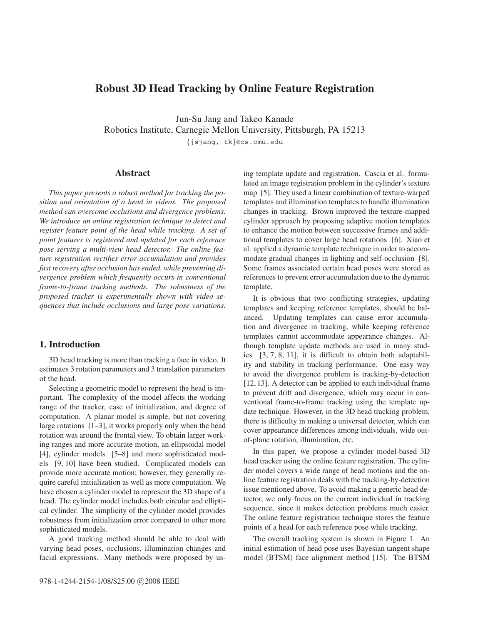# **Robust 3D Head Tracking by Online Feature Registration**

Jun-Su Jang and Takeo Kanade Robotics Institute, Carnegie Mellon University, Pittsburgh, PA 15213

*{*jsjang, tk*}*@cs.cmu.edu

# **Abstract**

*This paper presents a robust method for tracking the position and orientation of a head in videos. The proposed method can overcome occlusions and divergence problems. We introduce an online registration technique to detect and register feature point of the head while tracking. A set of point features is registered and updated for each reference pose serving a multi-view head detector. The online feature registration rectifies error accumulation and provides fast recovery after occlusion has ended, while preventing divergence problem which frequently occurs in conventional frame-to-frame tracking methods. The robustness of the proposed tracker is experimentally shown with video sequences that include occlusions and large pose variations.*

# **1. Introduction**

3D head tracking is more than tracking a face in video. It estimates 3 rotation parameters and 3 translation parameters of the head.

Selecting a geometric model to represent the head is important. The complexity of the model affects the working range of the tracker, ease of initialization, and degree of computation. A planar model is simple, but not covering large rotations [1–3], it works properly only when the head rotation was around the frontal view. To obtain larger working ranges and more accurate motion, an ellipsoidal model [4], cylinder models [5–8] and more sophisticated models [9, 10] have been studied. Complicated models can provide more accurate motion; however, they generally require careful initialization as well as more computation. We have chosen a cylinder model to represent the 3D shape of a head. The cylinder model includes both circular and elliptical cylinder. The simplicity of the cylinder model provides robustness from initialization error compared to other more sophisticated models.

A good tracking method should be able to deal with varying head poses, occlusions, illumination changes and facial expressions. Many methods were proposed by using template update and registration. Cascia et al. formulated an image registration problem in the cylinder's texture map [5]. They used a linear combination of texture-warped templates and illumination templates to handle illumination changes in tracking. Brown improved the texture-mapped cylinder approach by proposing adaptive motion templates to enhance the motion between successive frames and additional templates to cover large head rotations [6]. Xiao et al. applied a dynamic template technique in order to accommodate gradual changes in lighting and self-occlusion [8]. Some frames associated certain head poses were stored as references to prevent error accumulation due to the dynamic template.

It is obvious that two conflicting strategies, updating templates and keeping reference templates, should be balanced. Updating templates can cause error accumulation and divergence in tracking, while keeping reference templates cannot accommodate appearance changes. Although template update methods are used in many studies [3, 7, 8, 11], it is difficult to obtain both adaptability and stability in tracking performance. One easy way to avoid the divergence problem is tracking-by-detection [12,13]. A detector can be applied to each individual frame to prevent drift and divergence, which may occur in conventional frame-to-frame tracking using the template update technique. However, in the 3D head tracking problem, there is difficulty in making a universal detector, which can cover appearance differences among individuals, wide outof-plane rotation, illumination, etc.

In this paper, we propose a cylinder model-based 3D head tracker using the online feature registration. The cylinder model covers a wide range of head motions and the online feature registration deals with the tracking-by-detection issue mentioned above. To avoid making a generic head detector, we only focus on the current individual in tracking sequence, since it makes detection problems much easier. The online feature registration technique stores the feature points of a head for each reference pose while tracking.

The overall tracking system is shown in Figure 1. An initial estimation of head pose uses Bayesian tangent shape model (BTSM) face alignment method [15]. The BTSM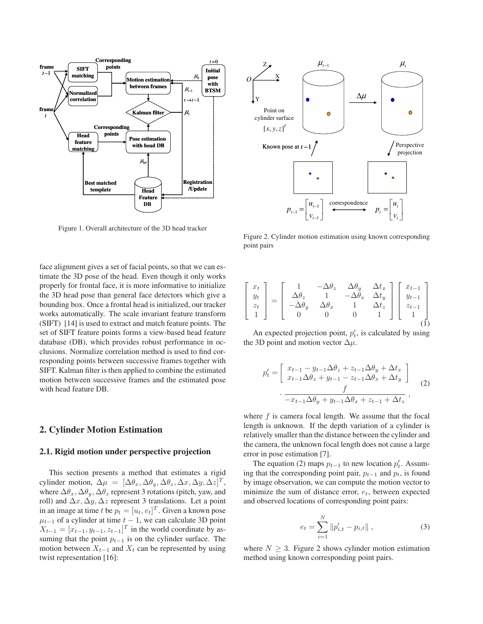

Figure 1. Overall architecture of the 3D head tracker

face alignment gives a set of facial points, so that we can estimate the 3D pose of the head. Even though it only works properly for frontal face, it is more informative to initialize the 3D head pose than general face detectors which give a bounding box. Once a frontal head is initialized, our tracker works automatically. The scale invariant feature transform (SIFT) [14] is used to extract and match feature points. The set of SIFT feature points forms a view-based head feature database (DB), which provides robust performance in occlusions. Normalize correlation method is used to find corresponding points between successive frames together with SIFT. Kalman filter is then applied to combine the estimated motion between successive frames and the estimated pose with head feature DB.

# **2. Cylinder Motion Estimation**

### **2.1. Rigid motion under perspective projection**

This section presents a method that estimates a rigid cylinder motion,  $\Delta \mu = [\Delta \theta_x, \Delta \theta_y, \Delta \theta_z, \Delta x, \Delta y, \Delta z]^T$ , where  $\Delta\theta_x$ ,  $\Delta\theta_y$ ,  $\Delta\theta_z$  represent 3 rotations (pitch, yaw, and roll) and  $\Delta x, \Delta y, \Delta z$  represent 3 translations. Let a point in an image at time t be  $p_t = [u_t, v_t]^T$ . Given a known pose  $\mu_{t-1}$  of a cylinder at time  $t - 1$ , we can calculate 3D point  $X_{t-1} = [x_{t-1}, y_{t-1}, z_{t-1}]^T$  in the world coordinate by assuming that the point p*<sup>t</sup>*−<sup>1</sup> is on the cylinder surface. The motion between  $X_{t-1}$  and  $X_t$  can be represented by using twist representation [16]:



Figure 2. Cylinder motion estimation using known corresponding point pairs

|  | $\left[ \begin{array}{c} x_t \\ y_t \\ z_t \\ 1 \end{array} \right] = \left[ \begin{array}{rrrr} 1 & -\Delta \theta_z & \Delta \theta_y & \Delta t_x \\ \Delta \theta_z & 1 & -\Delta \theta_x & \Delta t_y \\ -\Delta \theta_y & \Delta \theta_x & 1 & \Delta t_z \\ 0 & 0 & 0 & 1 \end{array} \right] \left[ \begin{array}{c} x_{t-1} \\ y_{t-1} \\ z_{t-1} \\ 1 \\ \end{array} \right]$ |  |  |  |
|--|--------------------------------------------------------------------------------------------------------------------------------------------------------------------------------------------------------------------------------------------------------------------------------------------------------------------------------------------------------------------------------------------|--|--|--|
|  |                                                                                                                                                                                                                                                                                                                                                                                            |  |  |  |
|  |                                                                                                                                                                                                                                                                                                                                                                                            |  |  |  |
|  |                                                                                                                                                                                                                                                                                                                                                                                            |  |  |  |

An expected projection point,  $p'_t$ , is calculated by using the 3D point and motion vector  $\Delta \mu$ .

$$
p'_{t} = \begin{bmatrix} x_{t-1} - y_{t-1} \Delta \theta_z + z_{t-1} \Delta \theta_y + \Delta t_x \\ x_{t-1} \Delta \theta_z + y_{t-1} - z_{t-1} \Delta \theta_x + \Delta t_y \end{bmatrix}
$$

$$
\cdot \frac{f}{-x_{t-1} \Delta \theta_y + y_{t-1} \Delta \theta_x + z_{t-1} + \Delta t_z},
$$
(2)

where  $f$  is camera focal length. We assume that the focal length is unknown. If the depth variation of a cylinder is relatively smaller than the distance between the cylinder and the camera, the unknown focal length does not cause a large error in pose estimation [7].

The equation (2) maps  $p_{t-1}$  to new location  $p'_t$ . Assuming that the corresponding point pair,  $p_{t-1}$  and  $p_t$ , is found by image observation, we can compute the motion vector to minimize the sum of distance error, e*t*, between expected and observed locations of corresponding point pairs:

$$
e_t = \sum_{i=1}^{N} \|p'_{i,t} - p_{i,t}\|,
$$
 (3)

where  $N > 3$ . Figure 2 shows cylinder motion estimation method using known corresponding point pairs.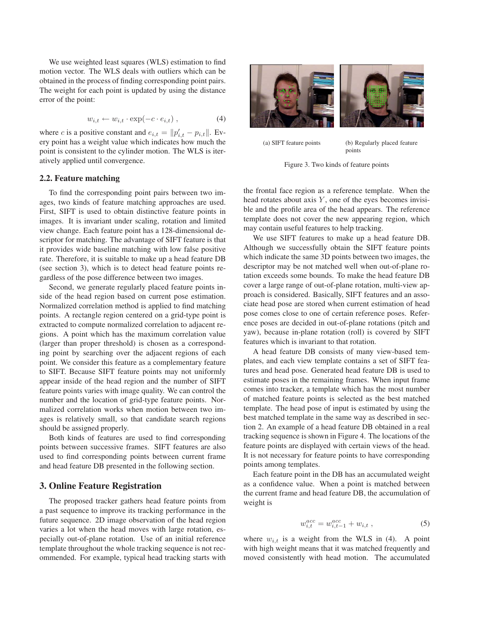We use weighted least squares (WLS) estimation to find motion vector. The WLS deals with outliers which can be obtained in the process of finding corresponding point pairs. The weight for each point is updated by using the distance error of the point:

$$
w_{i,t} \leftarrow w_{i,t} \cdot \exp(-c \cdot e_{i,t}), \qquad (4)
$$

where *c* is a positive constant and  $e_{i,t} = ||p'_{i,t} - p_{i,t}||$ . Every point has a weight value which indicates how much the point is consistent to the cylinder motion. The WLS is iteratively applied until convergence.

#### **2.2. Feature matching**

To find the corresponding point pairs between two images, two kinds of feature matching approaches are used. First, SIFT is used to obtain distinctive feature points in images. It is invariant under scaling, rotation and limited view change. Each feature point has a 128-dimensional descriptor for matching. The advantage of SIFT feature is that it provides wide baseline matching with low false positive rate. Therefore, it is suitable to make up a head feature DB (see section 3), which is to detect head feature points regardless of the pose difference between two images.

Second, we generate regularly placed feature points inside of the head region based on current pose estimation. Normalized correlation method is applied to find matching points. A rectangle region centered on a grid-type point is extracted to compute normalized correlation to adjacent regions. A point which has the maximum correlation value (larger than proper threshold) is chosen as a corresponding point by searching over the adjacent regions of each point. We consider this feature as a complementary feature to SIFT. Because SIFT feature points may not uniformly appear inside of the head region and the number of SIFT feature points varies with image quality. We can control the number and the location of grid-type feature points. Normalized correlation works when motion between two images is relatively small, so that candidate search regions should be assigned properly.

Both kinds of features are used to find corresponding points between successive frames. SIFT features are also used to find corresponding points between current frame and head feature DB presented in the following section.

## **3. Online Feature Registration**

The proposed tracker gathers head feature points from a past sequence to improve its tracking performance in the future sequence. 2D image observation of the head region varies a lot when the head moves with large rotation, especially out-of-plane rotation. Use of an initial reference template throughout the whole tracking sequence is not recommended. For example, typical head tracking starts with



(a) SIFT feature points (b) Regularly placed feature points

Figure 3. Two kinds of feature points

the frontal face region as a reference template. When the head rotates about axis  $Y$ , one of the eyes becomes invisible and the profile area of the head appears. The reference template does not cover the new appearing region, which may contain useful features to help tracking.

We use SIFT features to make up a head feature DB. Although we successfully obtain the SIFT feature points which indicate the same 3D points between two images, the descriptor may be not matched well when out-of-plane rotation exceeds some bounds. To make the head feature DB cover a large range of out-of-plane rotation, multi-view approach is considered. Basically, SIFT features and an associate head pose are stored when current estimation of head pose comes close to one of certain reference poses. Reference poses are decided in out-of-plane rotations (pitch and yaw), because in-plane rotation (roll) is covered by SIFT features which is invariant to that rotation.

A head feature DB consists of many view-based templates, and each view template contains a set of SIFT features and head pose. Generated head feature DB is used to estimate poses in the remaining frames. When input frame comes into tracker, a template which has the most number of matched feature points is selected as the best matched template. The head pose of input is estimated by using the best matched template in the same way as described in section 2. An example of a head feature DB obtained in a real tracking sequence is shown in Figure 4. The locations of the feature points are displayed with certain views of the head. It is not necessary for feature points to have corresponding points among templates.

Each feature point in the DB has an accumulated weight as a confidence value. When a point is matched between the current frame and head feature DB, the accumulation of weight is

$$
w_{i,t}^{acc} = w_{i,t-1}^{acc} + w_{i,t} \t{,} \t(5)
$$

where  $w_{i,t}$  is a weight from the WLS in (4). A point with high weight means that it was matched frequently and moved consistently with head motion. The accumulated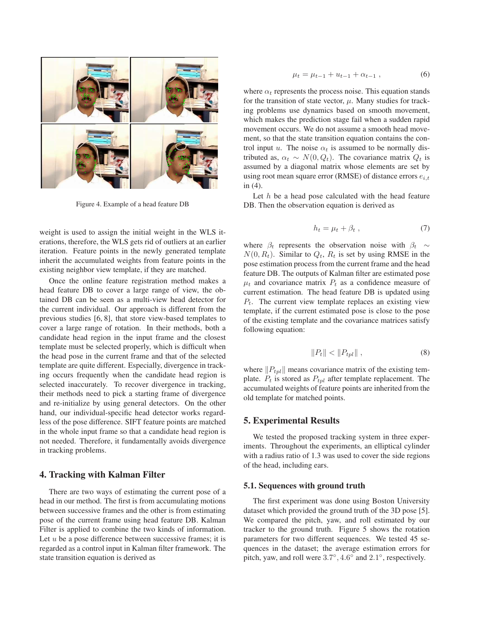

Figure 4. Example of a head feature DB

weight is used to assign the initial weight in the WLS iterations, therefore, the WLS gets rid of outliers at an earlier iteration. Feature points in the newly generated template inherit the accumulated weights from feature points in the existing neighbor view template, if they are matched.

Once the online feature registration method makes a head feature DB to cover a large range of view, the obtained DB can be seen as a multi-view head detector for the current individual. Our approach is different from the previous studies [6, 8], that store view-based templates to cover a large range of rotation. In their methods, both a candidate head region in the input frame and the closest template must be selected properly, which is difficult when the head pose in the current frame and that of the selected template are quite different. Especially, divergence in tracking occurs frequently when the candidate head region is selected inaccurately. To recover divergence in tracking, their methods need to pick a starting frame of divergence and re-initialize by using general detectors. On the other hand, our individual-specific head detector works regardless of the pose difference. SIFT feature points are matched in the whole input frame so that a candidate head region is not needed. Therefore, it fundamentally avoids divergence in tracking problems.

#### **4. Tracking with Kalman Filter**

There are two ways of estimating the current pose of a head in our method. The first is from accumulating motions between successive frames and the other is from estimating pose of the current frame using head feature DB. Kalman Filter is applied to combine the two kinds of information. Let  $u$  be a pose difference between successive frames; it is regarded as a control input in Kalman filter framework. The state transition equation is derived as

$$
\mu_t = \mu_{t-1} + u_{t-1} + \alpha_{t-1} , \qquad (6)
$$

where  $\alpha_t$  represents the process noise. This equation stands for the transition of state vector,  $\mu$ . Many studies for tracking problems use dynamics based on smooth movement, which makes the prediction stage fail when a sudden rapid movement occurs. We do not assume a smooth head movement, so that the state transition equation contains the control input u. The noise  $\alpha_t$  is assumed to be normally distributed as,  $\alpha_t \sim N(0, Q_t)$ . The covariance matrix  $Q_t$  is assumed by a diagonal matrix whose elements are set by using root mean square error (RMSE) of distance errors  $e_{i,t}$ in (4).

Let  $h$  be a head pose calculated with the head feature DB. Then the observation equation is derived as

$$
h_t = \mu_t + \beta_t \t\t(7)
$$

where  $\beta_t$  represents the observation noise with  $\beta_t \sim$  $N(0, R_t)$ . Similar to  $Q_t$ ,  $R_t$  is set by using RMSE in the pose estimation process from the current frame and the head feature DB. The outputs of Kalman filter are estimated pose  $\mu_t$  and covariance matrix  $P_t$  as a confidence measure of current estimation. The head feature DB is updated using P*t*. The current view template replaces an existing view template, if the current estimated pose is close to the pose of the existing template and the covariance matrices satisfy following equation:

$$
||P_t|| < ||P_{tpl}||,
$$
 (8)

where  $||P_{tpl}||$  means covariance matrix of the existing template.  $P_t$  is stored as  $P_{tpl}$  after template replacement. The accumulated weights of feature points are inherited from the old template for matched points.

### **5. Experimental Results**

We tested the proposed tracking system in three experiments. Throughout the experiments, an elliptical cylinder with a radius ratio of 1.3 was used to cover the side regions of the head, including ears.

#### **5.1. Sequences with ground truth**

The first experiment was done using Boston University dataset which provided the ground truth of the 3D pose [5]. We compared the pitch, yaw, and roll estimated by our tracker to the ground truth. Figure 5 shows the rotation parameters for two different sequences. We tested 45 sequences in the dataset; the average estimation errors for pitch, yaw, and roll were 3.7◦, 4.6◦ and 2.1◦, respectively.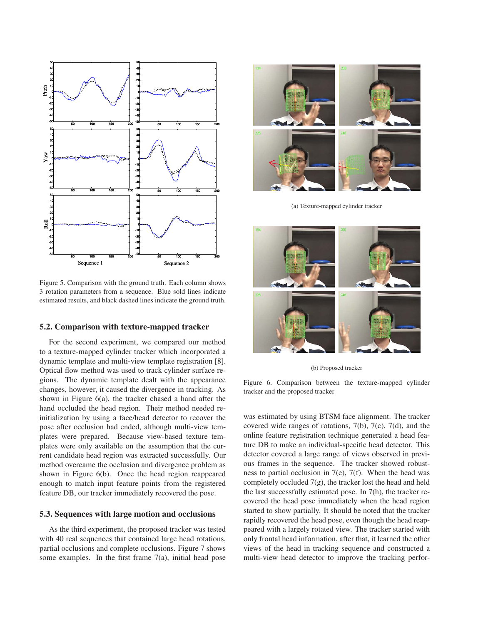

Figure 5. Comparison with the ground truth. Each column shows 3 rotation parameters from a sequence. Blue sold lines indicate estimated results, and black dashed lines indicate the ground truth.

### **5.2. Comparison with texture-mapped tracker**

For the second experiment, we compared our method to a texture-mapped cylinder tracker which incorporated a dynamic template and multi-view template registration [8]. Optical flow method was used to track cylinder surface regions. The dynamic template dealt with the appearance changes, however, it caused the divergence in tracking. As shown in Figure 6(a), the tracker chased a hand after the hand occluded the head region. Their method needed reinitialization by using a face/head detector to recover the pose after occlusion had ended, although multi-view templates were prepared. Because view-based texture templates were only available on the assumption that the current candidate head region was extracted successfully. Our method overcame the occlusion and divergence problem as shown in Figure 6(b). Once the head region reappeared enough to match input feature points from the registered feature DB, our tracker immediately recovered the pose.

#### **5.3. Sequences with large motion and occlusions**

As the third experiment, the proposed tracker was tested with 40 real sequences that contained large head rotations, partial occlusions and complete occlusions. Figure 7 shows some examples. In the first frame 7(a), initial head pose



(a) Texture-mapped cylinder tracker



(b) Proposed tracker

Figure 6. Comparison between the texture-mapped cylinder tracker and the proposed tracker

was estimated by using BTSM face alignment. The tracker covered wide ranges of rotations, 7(b), 7(c), 7(d), and the online feature registration technique generated a head feature DB to make an individual-specific head detector. This detector covered a large range of views observed in previous frames in the sequence. The tracker showed robustness to partial occlusion in  $7(e)$ ,  $7(f)$ . When the head was completely occluded  $7(g)$ , the tracker lost the head and held the last successfully estimated pose. In 7(h), the tracker recovered the head pose immediately when the head region started to show partially. It should be noted that the tracker rapidly recovered the head pose, even though the head reappeared with a largely rotated view. The tracker started with only frontal head information, after that, it learned the other views of the head in tracking sequence and constructed a multi-view head detector to improve the tracking perfor-